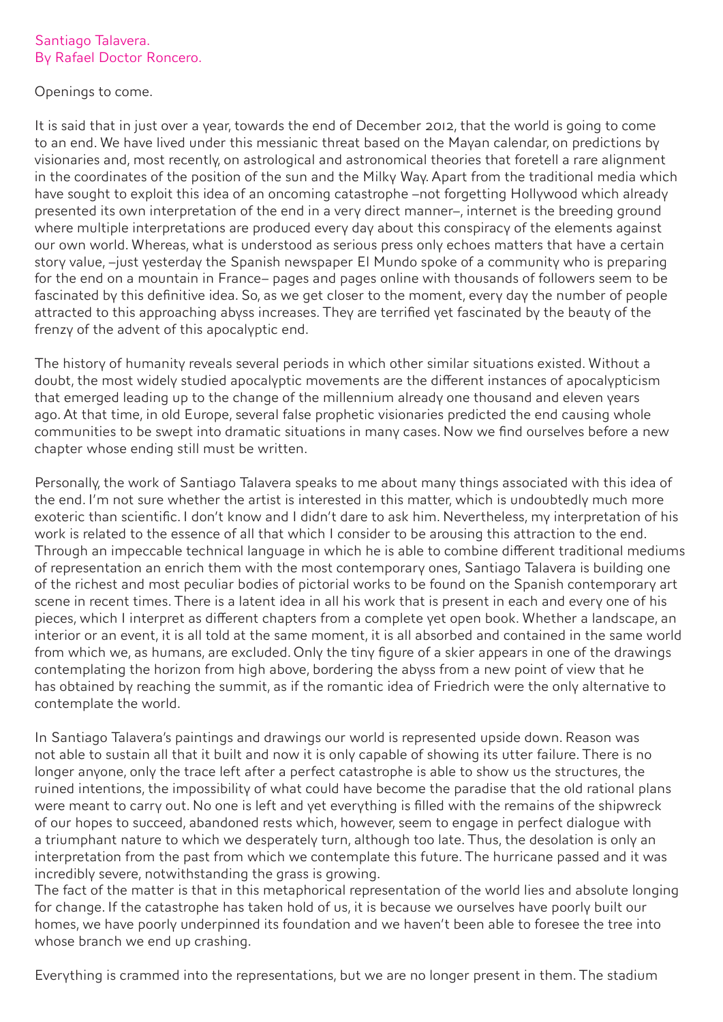## Santiago Talavera. By Rafael Doctor Roncero.

## Openings to come.

It is said that in just over a year, towards the end of December 2012, that the world is going to come to an end. We have lived under this messianic threat based on the Mayan calendar, on predictions by visionaries and, most recently, on astrological and astronomical theories that foretell a rare alignment in the coordinates of the position of the sun and the Milky Way. Apart from the traditional media which have sought to exploit this idea of an oncoming catastrophe –not forgetting Hollywood which already presented its own interpretation of the end in a very direct manner–, internet is the breeding ground where multiple interpretations are produced every day about this conspiracy of the elements against our own world. Whereas, what is understood as serious press only echoes matters that have a certain story value, –just yesterday the Spanish newspaper El Mundo spoke of a community who is preparing for the end on a mountain in France– pages and pages online with thousands of followers seem to be fascinated by this definitive idea. So, as we get closer to the moment, every day the number of people attracted to this approaching abyss increases. They are terrified yet fascinated by the beauty of the frenzy of the advent of this apocalyptic end.

The history of humanity reveals several periods in which other similar situations existed. Without a doubt, the most widely studied apocalyptic movements are the different instances of apocalypticism that emerged leading up to the change of the millennium already one thousand and eleven years ago. At that time, in old Europe, several false prophetic visionaries predicted the end causing whole communities to be swept into dramatic situations in many cases. Now we find ourselves before a new chapter whose ending still must be written.

Personally, the work of Santiago Talavera speaks to me about many things associated with this idea of the end. I'm not sure whether the artist is interested in this matter, which is undoubtedly much more exoteric than scientific. I don't know and I didn't dare to ask him. Nevertheless, my interpretation of his work is related to the essence of all that which I consider to be arousing this attraction to the end. Through an impeccable technical language in which he is able to combine different traditional mediums of representation an enrich them with the most contemporary ones, Santiago Talavera is building one of the richest and most peculiar bodies of pictorial works to be found on the Spanish contemporary art scene in recent times. There is a latent idea in all his work that is present in each and every one of his pieces, which I interpret as different chapters from a complete yet open book. Whether a landscape, an interior or an event, it is all told at the same moment, it is all absorbed and contained in the same world from which we, as humans, are excluded. Only the tiny figure of a skier appears in one of the drawings contemplating the horizon from high above, bordering the abyss from a new point of view that he has obtained by reaching the summit, as if the romantic idea of Friedrich were the only alternative to contemplate the world.

In Santiago Talavera's paintings and drawings our world is represented upside down. Reason was not able to sustain all that it built and now it is only capable of showing its utter failure. There is no longer anyone, only the trace left after a perfect catastrophe is able to show us the structures, the ruined intentions, the impossibility of what could have become the paradise that the old rational plans were meant to carry out. No one is left and yet everything is filled with the remains of the shipwreck of our hopes to succeed, abandoned rests which, however, seem to engage in perfect dialogue with a triumphant nature to which we desperately turn, although too late. Thus, the desolation is only an interpretation from the past from which we contemplate this future. The hurricane passed and it was incredibly severe, notwithstanding the grass is growing.

The fact of the matter is that in this metaphorical representation of the world lies and absolute longing for change. If the catastrophe has taken hold of us, it is because we ourselves have poorly built our homes, we have poorly underpinned its foundation and we haven't been able to foresee the tree into whose branch we end up crashing.

Everything is crammed into the representations, but we are no longer present in them. The stadium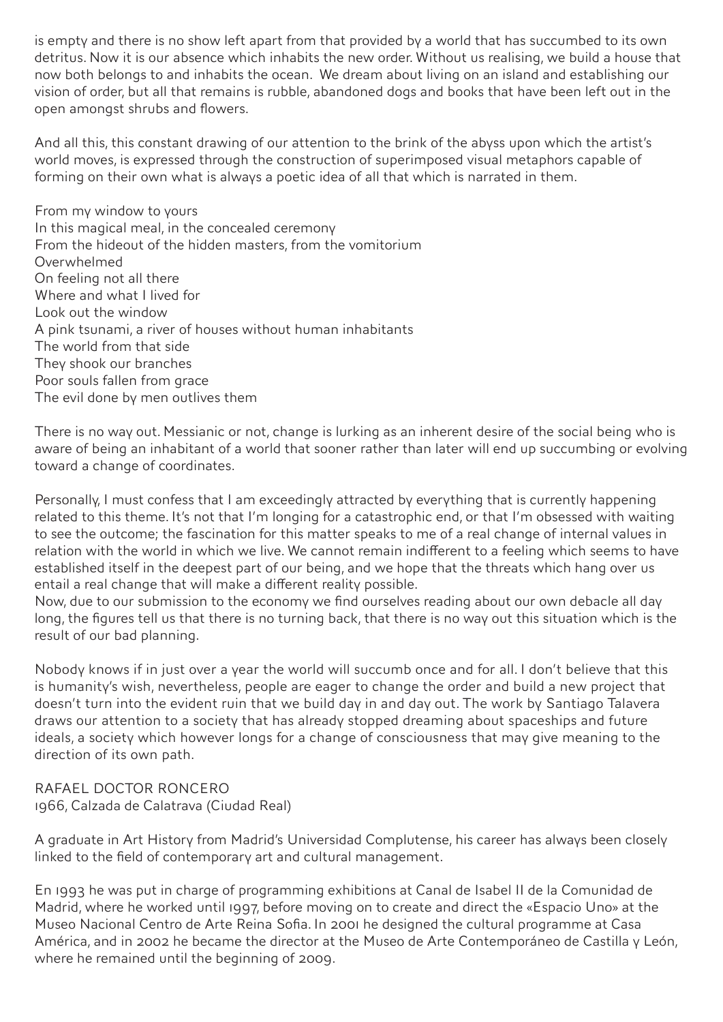is empty and there is no show left apart from that provided by a world that has succumbed to its own detritus. Now it is our absence which inhabits the new order. Without us realising, we build a house that now both belongs to and inhabits the ocean. We dream about living on an island and establishing our vision of order, but all that remains is rubble, abandoned dogs and books that have been left out in the open amongst shrubs and flowers.

And all this, this constant drawing of our attention to the brink of the abyss upon which the artist's world moves, is expressed through the construction of superimposed visual metaphors capable of forming on their own what is always a poetic idea of all that which is narrated in them.

From my window to yours In this magical meal, in the concealed ceremony From the hideout of the hidden masters, from the vomitorium Overwhelmed On feeling not all there Where and what I lived for Look out the window A pink tsunami, a river of houses without human inhabitants The world from that side They shook our branches Poor souls fallen from grace The evil done by men outlives them

There is no way out. Messianic or not, change is lurking as an inherent desire of the social being who is aware of being an inhabitant of a world that sooner rather than later will end up succumbing or evolving toward a change of coordinates.

Personally, I must confess that I am exceedingly attracted by everything that is currently happening related to this theme. It's not that I'm longing for a catastrophic end, or that I'm obsessed with waiting to see the outcome; the fascination for this matter speaks to me of a real change of internal values in relation with the world in which we live. We cannot remain indifferent to a feeling which seems to have established itself in the deepest part of our being, and we hope that the threats which hang over us entail a real change that will make a different reality possible.

Now, due to our submission to the economy we find ourselves reading about our own debacle all day long, the figures tell us that there is no turning back, that there is no way out this situation which is the result of our bad planning.

Nobody knows if in just over a year the world will succumb once and for all. I don't believe that this is humanity's wish, nevertheless, people are eager to change the order and build a new project that doesn't turn into the evident ruin that we build day in and day out. The work by Santiago Talavera draws our attention to a society that has already stopped dreaming about spaceships and future ideals, a society which however longs for a change of consciousness that may give meaning to the direction of its own path.

RAFAEL DOCTOR RONCERO 1966, Calzada de Calatrava (Ciudad Real)

A graduate in Art History from Madrid's Universidad Complutense, his career has always been closely linked to the field of contemporary art and cultural management.

En 1993 he was put in charge of programming exhibitions at Canal de Isabel II de la Comunidad de Madrid, where he worked until 1997, before moving on to create and direct the «Espacio Uno» at the Museo Nacional Centro de Arte Reina Sofia. In 2001 he designed the cultural programme at Casa América, and in 2002 he became the director at the Museo de Arte Contemporáneo de Castilla y León, where he remained until the beginning of 2009.